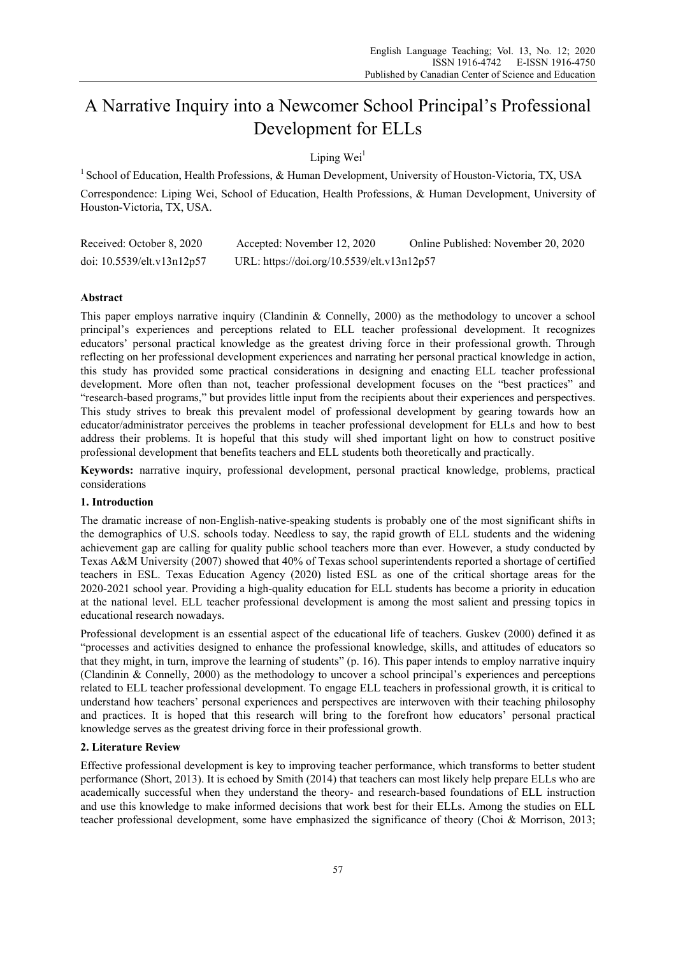# A Narrative Inquiry into a Newcomer School Principal's Professional Development for ELLs

## Lining Wei<sup>1</sup>

<sup>1</sup> School of Education, Health Professions, & Human Development, University of Houston-Victoria, TX, USA Correspondence: Liping Wei, School of Education, Health Professions, & Human Development, University of Houston-Victoria, TX, USA.

| Received: October 8, 2020  | Accepted: November 12, 2020                | Online Published: November 20, 2020 |
|----------------------------|--------------------------------------------|-------------------------------------|
| doi: 10.5539/elt.v13n12p57 | URL: https://doi.org/10.5539/elt.v13n12p57 |                                     |

## **Abstract**

This paper employs narrative inquiry (Clandinin & Connelly, 2000) as the methodology to uncover a school principal's experiences and perceptions related to ELL teacher professional development. It recognizes educators' personal practical knowledge as the greatest driving force in their professional growth. Through reflecting on her professional development experiences and narrating her personal practical knowledge in action, this study has provided some practical considerations in designing and enacting ELL teacher professional development. More often than not, teacher professional development focuses on the "best practices" and "research-based programs," but provides little input from the recipients about their experiences and perspectives. This study strives to break this prevalent model of professional development by gearing towards how an educator/administrator perceives the problems in teacher professional development for ELLs and how to best address their problems. It is hopeful that this study will shed important light on how to construct positive professional development that benefits teachers and ELL students both theoretically and practically.

**Keywords:** narrative inquiry, professional development, personal practical knowledge, problems, practical considerations

#### **1. Introduction**

The dramatic increase of non-English-native-speaking students is probably one of the most significant shifts in the demographics of U.S. schools today. Needless to say, the rapid growth of ELL students and the widening achievement gap are calling for quality public school teachers more than ever. However, a study conducted by Texas A&M University (2007) showed that 40% of Texas school superintendents reported a shortage of certified teachers in ESL. Texas Education Agency (2020) listed ESL as one of the critical shortage areas for the 2020-2021 school year. Providing a high-quality education for ELL students has become a priority in education at the national level. ELL teacher professional development is among the most salient and pressing topics in educational research nowadays.

Professional development is an essential aspect of the educational life of teachers. Guskev (2000) defined it as "processes and activities designed to enhance the professional knowledge, skills, and attitudes of educators so that they might, in turn, improve the learning of students" (p. 16). This paper intends to employ narrative inquiry (Clandinin & Connelly, 2000) as the methodology to uncover a school principal's experiences and perceptions related to ELL teacher professional development. To engage ELL teachers in professional growth, it is critical to understand how teachers' personal experiences and perspectives are interwoven with their teaching philosophy and practices. It is hoped that this research will bring to the forefront how educators' personal practical knowledge serves as the greatest driving force in their professional growth.

## **2. Literature Review**

Effective professional development is key to improving teacher performance, which transforms to better student performance (Short, 2013). It is echoed by Smith (2014) that teachers can most likely help prepare ELLs who are academically successful when they understand the theory- and research-based foundations of ELL instruction and use this knowledge to make informed decisions that work best for their ELLs. Among the studies on ELL teacher professional development, some have emphasized the significance of theory (Choi & Morrison, 2013;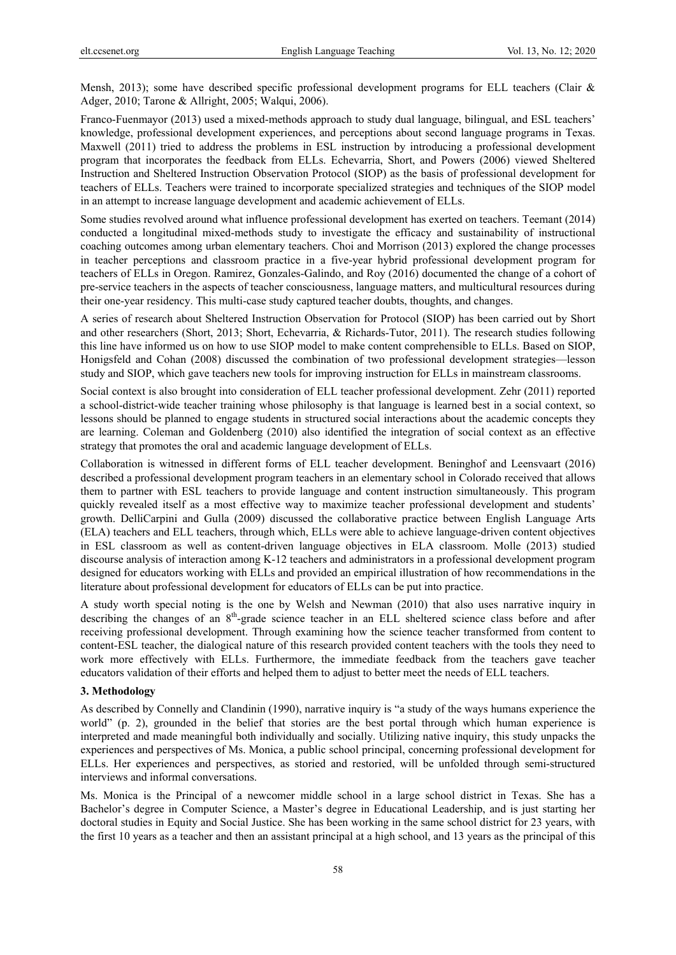Mensh, 2013); some have described specific professional development programs for ELL teachers (Clair & Adger, 2010; Tarone & Allright, 2005; Walqui, 2006).

Franco-Fuenmayor (2013) used a mixed-methods approach to study dual language, bilingual, and ESL teachers' knowledge, professional development experiences, and perceptions about second language programs in Texas. Maxwell (2011) tried to address the problems in ESL instruction by introducing a professional development program that incorporates the feedback from ELLs. Echevarria, Short, and Powers (2006) viewed Sheltered Instruction and Sheltered Instruction Observation Protocol (SIOP) as the basis of professional development for teachers of ELLs. Teachers were trained to incorporate specialized strategies and techniques of the SIOP model in an attempt to increase language development and academic achievement of ELLs.

Some studies revolved around what influence professional development has exerted on teachers. Teemant (2014) conducted a longitudinal mixed-methods study to investigate the efficacy and sustainability of instructional coaching outcomes among urban elementary teachers. Choi and Morrison (2013) explored the change processes in teacher perceptions and classroom practice in a five-year hybrid professional development program for teachers of ELLs in Oregon. Ramirez, Gonzales-Galindo, and Roy (2016) documented the change of a cohort of pre-service teachers in the aspects of teacher consciousness, language matters, and multicultural resources during their one-year residency. This multi-case study captured teacher doubts, thoughts, and changes.

A series of research about Sheltered Instruction Observation for Protocol (SIOP) has been carried out by Short and other researchers (Short, 2013; Short, Echevarria, & Richards-Tutor, 2011). The research studies following this line have informed us on how to use SIOP model to make content comprehensible to ELLs. Based on SIOP, Honigsfeld and Cohan (2008) discussed the combination of two professional development strategies—lesson study and SIOP, which gave teachers new tools for improving instruction for ELLs in mainstream classrooms.

Social context is also brought into consideration of ELL teacher professional development. Zehr (2011) reported a school-district-wide teacher training whose philosophy is that language is learned best in a social context, so lessons should be planned to engage students in structured social interactions about the academic concepts they are learning. Coleman and Goldenberg (2010) also identified the integration of social context as an effective strategy that promotes the oral and academic language development of ELLs.

Collaboration is witnessed in different forms of ELL teacher development. Beninghof and Leensvaart (2016) described a professional development program teachers in an elementary school in Colorado received that allows them to partner with ESL teachers to provide language and content instruction simultaneously. This program quickly revealed itself as a most effective way to maximize teacher professional development and students' growth. DelliCarpini and Gulla (2009) discussed the collaborative practice between English Language Arts (ELA) teachers and ELL teachers, through which, ELLs were able to achieve language-driven content objectives in ESL classroom as well as content-driven language objectives in ELA classroom. Molle (2013) studied discourse analysis of interaction among K-12 teachers and administrators in a professional development program designed for educators working with ELLs and provided an empirical illustration of how recommendations in the literature about professional development for educators of ELLs can be put into practice.

A study worth special noting is the one by Welsh and Newman (2010) that also uses narrative inquiry in describing the changes of an 8<sup>th</sup>-grade science teacher in an ELL sheltered science class before and after receiving professional development. Through examining how the science teacher transformed from content to content-ESL teacher, the dialogical nature of this research provided content teachers with the tools they need to work more effectively with ELLs. Furthermore, the immediate feedback from the teachers gave teacher educators validation of their efforts and helped them to adjust to better meet the needs of ELL teachers.

#### **3. Methodology**

As described by Connelly and Clandinin (1990), narrative inquiry is "a study of the ways humans experience the world" (p. 2), grounded in the belief that stories are the best portal through which human experience is interpreted and made meaningful both individually and socially. Utilizing native inquiry, this study unpacks the experiences and perspectives of Ms. Monica, a public school principal, concerning professional development for ELLs. Her experiences and perspectives, as storied and restoried, will be unfolded through semi-structured interviews and informal conversations.

Ms. Monica is the Principal of a newcomer middle school in a large school district in Texas. She has a Bachelor's degree in Computer Science, a Master's degree in Educational Leadership, and is just starting her doctoral studies in Equity and Social Justice. She has been working in the same school district for 23 years, with the first 10 years as a teacher and then an assistant principal at a high school, and 13 years as the principal of this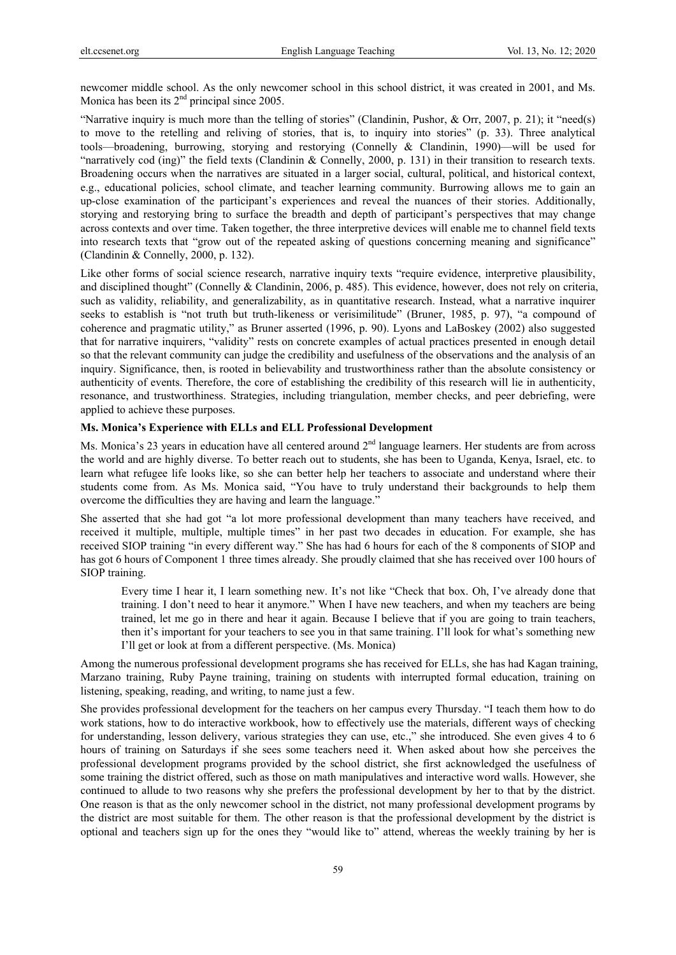newcomer middle school. As the only newcomer school in this school district, it was created in 2001, and Ms. Monica has been its  $2<sup>nd</sup>$  principal since 2005.

"Narrative inquiry is much more than the telling of stories" (Clandinin, Pushor, & Orr, 2007, p. 21); it "need(s) to move to the retelling and reliving of stories, that is, to inquiry into stories" (p. 33). Three analytical tools—broadening, burrowing, storying and restorying (Connelly & Clandinin, 1990)—will be used for "narratively cod (ing)" the field texts (Clandinin & Connelly, 2000, p. 131) in their transition to research texts. Broadening occurs when the narratives are situated in a larger social, cultural, political, and historical context, e.g., educational policies, school climate, and teacher learning community. Burrowing allows me to gain an up-close examination of the participant's experiences and reveal the nuances of their stories. Additionally, storying and restorying bring to surface the breadth and depth of participant's perspectives that may change across contexts and over time. Taken together, the three interpretive devices will enable me to channel field texts into research texts that "grow out of the repeated asking of questions concerning meaning and significance" (Clandinin & Connelly, 2000, p. 132).

Like other forms of social science research, narrative inquiry texts "require evidence, interpretive plausibility, and disciplined thought" (Connelly & Clandinin, 2006, p. 485). This evidence, however, does not rely on criteria, such as validity, reliability, and generalizability, as in quantitative research. Instead, what a narrative inquirer seeks to establish is "not truth but truth-likeness or verisimilitude" (Bruner, 1985, p. 97), "a compound of coherence and pragmatic utility," as Bruner asserted (1996, p. 90). Lyons and LaBoskey (2002) also suggested that for narrative inquirers, "validity" rests on concrete examples of actual practices presented in enough detail so that the relevant community can judge the credibility and usefulness of the observations and the analysis of an inquiry. Significance, then, is rooted in believability and trustworthiness rather than the absolute consistency or authenticity of events. Therefore, the core of establishing the credibility of this research will lie in authenticity, resonance, and trustworthiness. Strategies, including triangulation, member checks, and peer debriefing, were applied to achieve these purposes.

## **Ms. Monica's Experience with ELLs and ELL Professional Development**

Ms. Monica's 23 years in education have all centered around 2<sup>nd</sup> language learners. Her students are from across the world and are highly diverse. To better reach out to students, she has been to Uganda, Kenya, Israel, etc. to learn what refugee life looks like, so she can better help her teachers to associate and understand where their students come from. As Ms. Monica said, "You have to truly understand their backgrounds to help them overcome the difficulties they are having and learn the language."

She asserted that she had got "a lot more professional development than many teachers have received, and received it multiple, multiple, multiple times" in her past two decades in education. For example, she has received SIOP training "in every different way." She has had 6 hours for each of the 8 components of SIOP and has got 6 hours of Component 1 three times already. She proudly claimed that she has received over 100 hours of SIOP training.

Every time I hear it, I learn something new. It's not like "Check that box. Oh, I've already done that training. I don't need to hear it anymore." When I have new teachers, and when my teachers are being trained, let me go in there and hear it again. Because I believe that if you are going to train teachers, then it's important for your teachers to see you in that same training. I'll look for what's something new I'll get or look at from a different perspective. (Ms. Monica)

Among the numerous professional development programs she has received for ELLs, she has had Kagan training, Marzano training, Ruby Payne training, training on students with interrupted formal education, training on listening, speaking, reading, and writing, to name just a few.

She provides professional development for the teachers on her campus every Thursday. "I teach them how to do work stations, how to do interactive workbook, how to effectively use the materials, different ways of checking for understanding, lesson delivery, various strategies they can use, etc.," she introduced. She even gives 4 to 6 hours of training on Saturdays if she sees some teachers need it. When asked about how she perceives the professional development programs provided by the school district, she first acknowledged the usefulness of some training the district offered, such as those on math manipulatives and interactive word walls. However, she continued to allude to two reasons why she prefers the professional development by her to that by the district. One reason is that as the only newcomer school in the district, not many professional development programs by the district are most suitable for them. The other reason is that the professional development by the district is optional and teachers sign up for the ones they "would like to" attend, whereas the weekly training by her is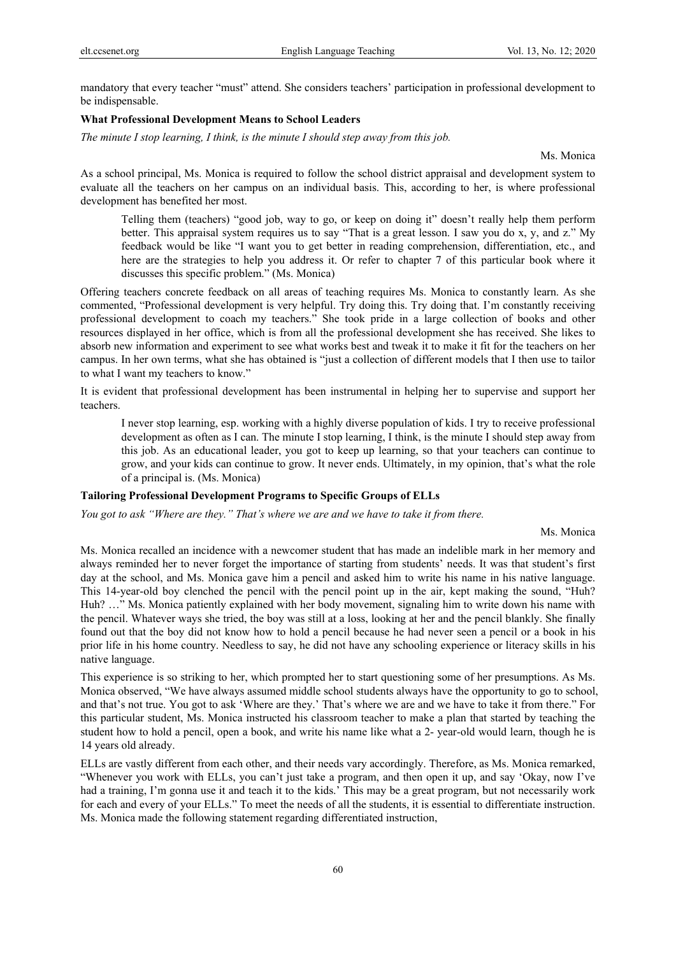mandatory that every teacher "must" attend. She considers teachers' participation in professional development to be indispensable.

#### **What Professional Development Means to School Leaders**

*The minute I stop learning, I think, is the minute I should step away from this job.* 

Ms. Monica

As a school principal, Ms. Monica is required to follow the school district appraisal and development system to evaluate all the teachers on her campus on an individual basis. This, according to her, is where professional development has benefited her most.

Telling them (teachers) "good job, way to go, or keep on doing it" doesn't really help them perform better. This appraisal system requires us to say "That is a great lesson. I saw you do x, y, and z." My feedback would be like "I want you to get better in reading comprehension, differentiation, etc., and here are the strategies to help you address it. Or refer to chapter 7 of this particular book where it discusses this specific problem." (Ms. Monica)

Offering teachers concrete feedback on all areas of teaching requires Ms. Monica to constantly learn. As she commented, "Professional development is very helpful. Try doing this. Try doing that. I'm constantly receiving professional development to coach my teachers." She took pride in a large collection of books and other resources displayed in her office, which is from all the professional development she has received. She likes to absorb new information and experiment to see what works best and tweak it to make it fit for the teachers on her campus. In her own terms, what she has obtained is "just a collection of different models that I then use to tailor to what I want my teachers to know."

It is evident that professional development has been instrumental in helping her to supervise and support her teachers.

I never stop learning, esp. working with a highly diverse population of kids. I try to receive professional development as often as I can. The minute I stop learning, I think, is the minute I should step away from this job. As an educational leader, you got to keep up learning, so that your teachers can continue to grow, and your kids can continue to grow. It never ends. Ultimately, in my opinion, that's what the role of a principal is. (Ms. Monica)

#### **Tailoring Professional Development Programs to Specific Groups of ELLs**

*You got to ask "Where are they." That's where we are and we have to take it from there.* 

Ms. Monica

Ms. Monica recalled an incidence with a newcomer student that has made an indelible mark in her memory and always reminded her to never forget the importance of starting from students' needs. It was that student's first day at the school, and Ms. Monica gave him a pencil and asked him to write his name in his native language. This 14-year-old boy clenched the pencil with the pencil point up in the air, kept making the sound, "Huh? Huh? …" Ms. Monica patiently explained with her body movement, signaling him to write down his name with the pencil. Whatever ways she tried, the boy was still at a loss, looking at her and the pencil blankly. She finally found out that the boy did not know how to hold a pencil because he had never seen a pencil or a book in his prior life in his home country. Needless to say, he did not have any schooling experience or literacy skills in his native language.

This experience is so striking to her, which prompted her to start questioning some of her presumptions. As Ms. Monica observed, "We have always assumed middle school students always have the opportunity to go to school, and that's not true. You got to ask 'Where are they.' That's where we are and we have to take it from there." For this particular student, Ms. Monica instructed his classroom teacher to make a plan that started by teaching the student how to hold a pencil, open a book, and write his name like what a 2- year-old would learn, though he is 14 years old already.

ELLs are vastly different from each other, and their needs vary accordingly. Therefore, as Ms. Monica remarked, "Whenever you work with ELLs, you can't just take a program, and then open it up, and say 'Okay, now I've had a training, I'm gonna use it and teach it to the kids.' This may be a great program, but not necessarily work for each and every of your ELLs." To meet the needs of all the students, it is essential to differentiate instruction. Ms. Monica made the following statement regarding differentiated instruction,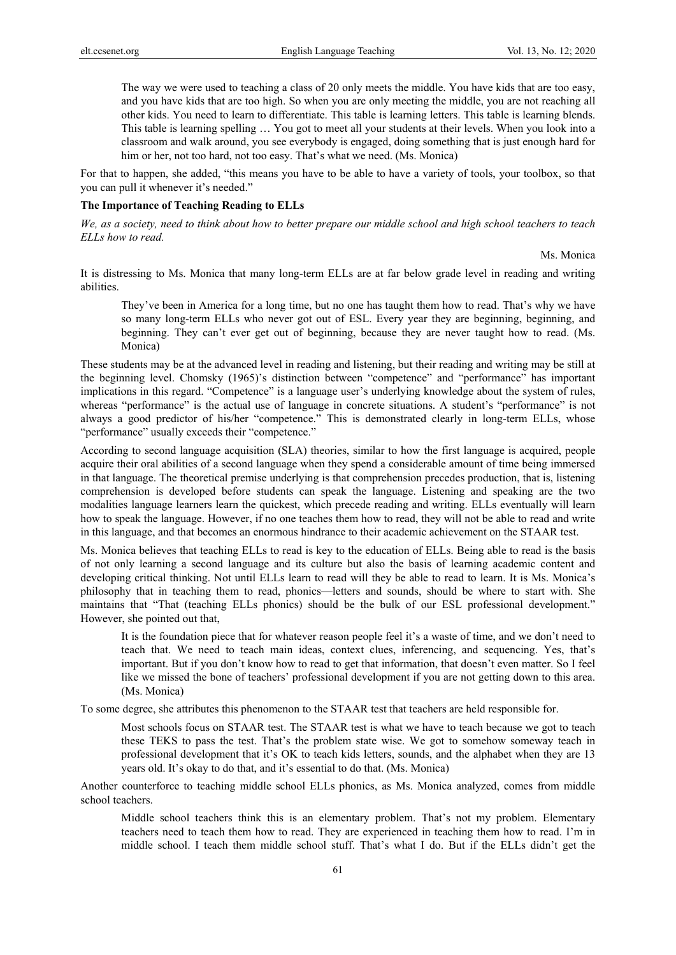The way we were used to teaching a class of 20 only meets the middle. You have kids that are too easy, and you have kids that are too high. So when you are only meeting the middle, you are not reaching all other kids. You need to learn to differentiate. This table is learning letters. This table is learning blends. This table is learning spelling … You got to meet all your students at their levels. When you look into a classroom and walk around, you see everybody is engaged, doing something that is just enough hard for him or her, not too hard, not too easy. That's what we need. (Ms. Monica)

For that to happen, she added, "this means you have to be able to have a variety of tools, your toolbox, so that you can pull it whenever it's needed."

## **The Importance of Teaching Reading to ELLs**

*We, as a society, need to think about how to better prepare our middle school and high school teachers to teach ELLs how to read.* 

Ms. Monica

It is distressing to Ms. Monica that many long-term ELLs are at far below grade level in reading and writing abilities.

They've been in America for a long time, but no one has taught them how to read. That's why we have so many long-term ELLs who never got out of ESL. Every year they are beginning, beginning, and beginning. They can't ever get out of beginning, because they are never taught how to read. (Ms. Monica)

These students may be at the advanced level in reading and listening, but their reading and writing may be still at the beginning level. Chomsky (1965)'s distinction between "competence" and "performance" has important implications in this regard. "Competence" is a language user's underlying knowledge about the system of rules, whereas "performance" is the actual use of language in concrete situations. A student's "performance" is not always a good predictor of his/her "competence." This is demonstrated clearly in long-term ELLs, whose "performance" usually exceeds their "competence."

According to second language acquisition (SLA) theories, similar to how the first language is acquired, people acquire their oral abilities of a second language when they spend a considerable amount of time being immersed in that language. The theoretical premise underlying is that comprehension precedes production, that is, listening comprehension is developed before students can speak the language. Listening and speaking are the two modalities language learners learn the quickest, which precede reading and writing. ELLs eventually will learn how to speak the language. However, if no one teaches them how to read, they will not be able to read and write in this language, and that becomes an enormous hindrance to their academic achievement on the STAAR test.

Ms. Monica believes that teaching ELLs to read is key to the education of ELLs. Being able to read is the basis of not only learning a second language and its culture but also the basis of learning academic content and developing critical thinking. Not until ELLs learn to read will they be able to read to learn. It is Ms. Monica's philosophy that in teaching them to read, phonics—letters and sounds, should be where to start with. She maintains that "That (teaching ELLs phonics) should be the bulk of our ESL professional development." However, she pointed out that,

It is the foundation piece that for whatever reason people feel it's a waste of time, and we don't need to teach that. We need to teach main ideas, context clues, inferencing, and sequencing. Yes, that's important. But if you don't know how to read to get that information, that doesn't even matter. So I feel like we missed the bone of teachers' professional development if you are not getting down to this area. (Ms. Monica)

To some degree, she attributes this phenomenon to the STAAR test that teachers are held responsible for.

Most schools focus on STAAR test. The STAAR test is what we have to teach because we got to teach these TEKS to pass the test. That's the problem state wise. We got to somehow someway teach in professional development that it's OK to teach kids letters, sounds, and the alphabet when they are 13 years old. It's okay to do that, and it's essential to do that. (Ms. Monica)

Another counterforce to teaching middle school ELLs phonics, as Ms. Monica analyzed, comes from middle school teachers.

Middle school teachers think this is an elementary problem. That's not my problem. Elementary teachers need to teach them how to read. They are experienced in teaching them how to read. I'm in middle school. I teach them middle school stuff. That's what I do. But if the ELLs didn't get the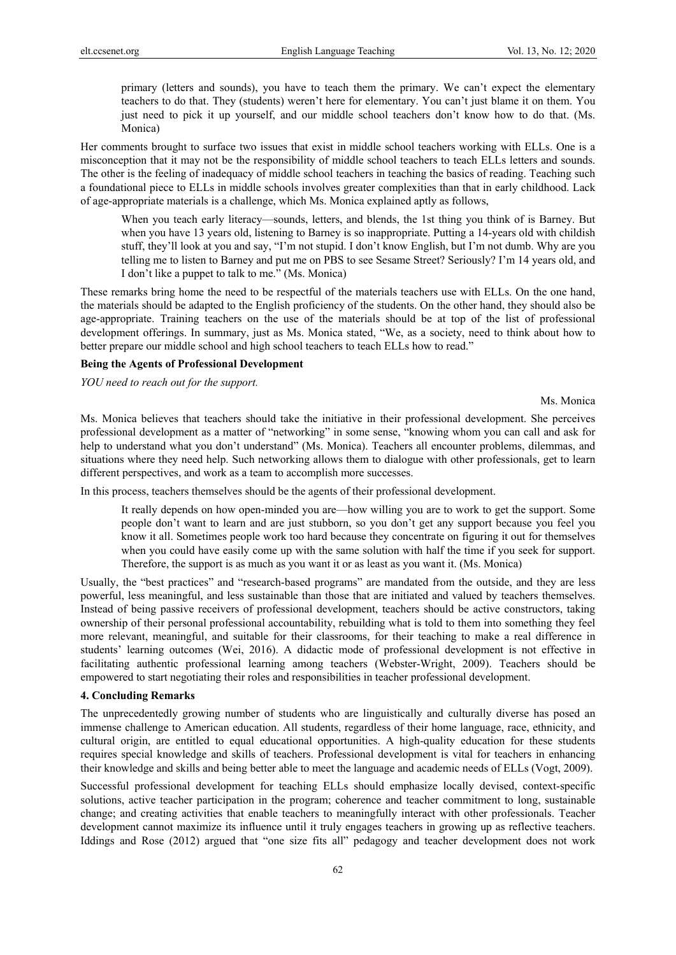primary (letters and sounds), you have to teach them the primary. We can't expect the elementary teachers to do that. They (students) weren't here for elementary. You can't just blame it on them. You just need to pick it up yourself, and our middle school teachers don't know how to do that. (Ms. Monica)

Her comments brought to surface two issues that exist in middle school teachers working with ELLs. One is a misconception that it may not be the responsibility of middle school teachers to teach ELLs letters and sounds. The other is the feeling of inadequacy of middle school teachers in teaching the basics of reading. Teaching such a foundational piece to ELLs in middle schools involves greater complexities than that in early childhood. Lack of age-appropriate materials is a challenge, which Ms. Monica explained aptly as follows,

When you teach early literacy—sounds, letters, and blends, the 1st thing you think of is Barney. But when you have 13 years old, listening to Barney is so inappropriate. Putting a 14-years old with childish stuff, they'll look at you and say, "I'm not stupid. I don't know English, but I'm not dumb. Why are you telling me to listen to Barney and put me on PBS to see Sesame Street? Seriously? I'm 14 years old, and I don't like a puppet to talk to me." (Ms. Monica)

These remarks bring home the need to be respectful of the materials teachers use with ELLs. On the one hand, the materials should be adapted to the English proficiency of the students. On the other hand, they should also be age-appropriate. Training teachers on the use of the materials should be at top of the list of professional development offerings. In summary, just as Ms. Monica stated, "We, as a society, need to think about how to better prepare our middle school and high school teachers to teach ELLs how to read."

#### **Being the Agents of Professional Development**

*YOU need to reach out for the support.* 

Ms. Monica

Ms. Monica believes that teachers should take the initiative in their professional development. She perceives professional development as a matter of "networking" in some sense, "knowing whom you can call and ask for help to understand what you don't understand" (Ms. Monica). Teachers all encounter problems, dilemmas, and situations where they need help. Such networking allows them to dialogue with other professionals, get to learn different perspectives, and work as a team to accomplish more successes.

In this process, teachers themselves should be the agents of their professional development.

It really depends on how open-minded you are—how willing you are to work to get the support. Some people don't want to learn and are just stubborn, so you don't get any support because you feel you know it all. Sometimes people work too hard because they concentrate on figuring it out for themselves when you could have easily come up with the same solution with half the time if you seek for support. Therefore, the support is as much as you want it or as least as you want it. (Ms. Monica)

Usually, the "best practices" and "research-based programs" are mandated from the outside, and they are less powerful, less meaningful, and less sustainable than those that are initiated and valued by teachers themselves. Instead of being passive receivers of professional development, teachers should be active constructors, taking ownership of their personal professional accountability, rebuilding what is told to them into something they feel more relevant, meaningful, and suitable for their classrooms, for their teaching to make a real difference in students' learning outcomes (Wei, 2016). A didactic mode of professional development is not effective in facilitating authentic professional learning among teachers (Webster-Wright, 2009). Teachers should be empowered to start negotiating their roles and responsibilities in teacher professional development.

#### **4. Concluding Remarks**

The unprecedentedly growing number of students who are linguistically and culturally diverse has posed an immense challenge to American education. All students, regardless of their home language, race, ethnicity, and cultural origin, are entitled to equal educational opportunities. A high-quality education for these students requires special knowledge and skills of teachers. Professional development is vital for teachers in enhancing their knowledge and skills and being better able to meet the language and academic needs of ELLs (Vogt, 2009).

Successful professional development for teaching ELLs should emphasize locally devised, context-specific solutions, active teacher participation in the program; coherence and teacher commitment to long, sustainable change; and creating activities that enable teachers to meaningfully interact with other professionals. Teacher development cannot maximize its influence until it truly engages teachers in growing up as reflective teachers. Iddings and Rose (2012) argued that "one size fits all" pedagogy and teacher development does not work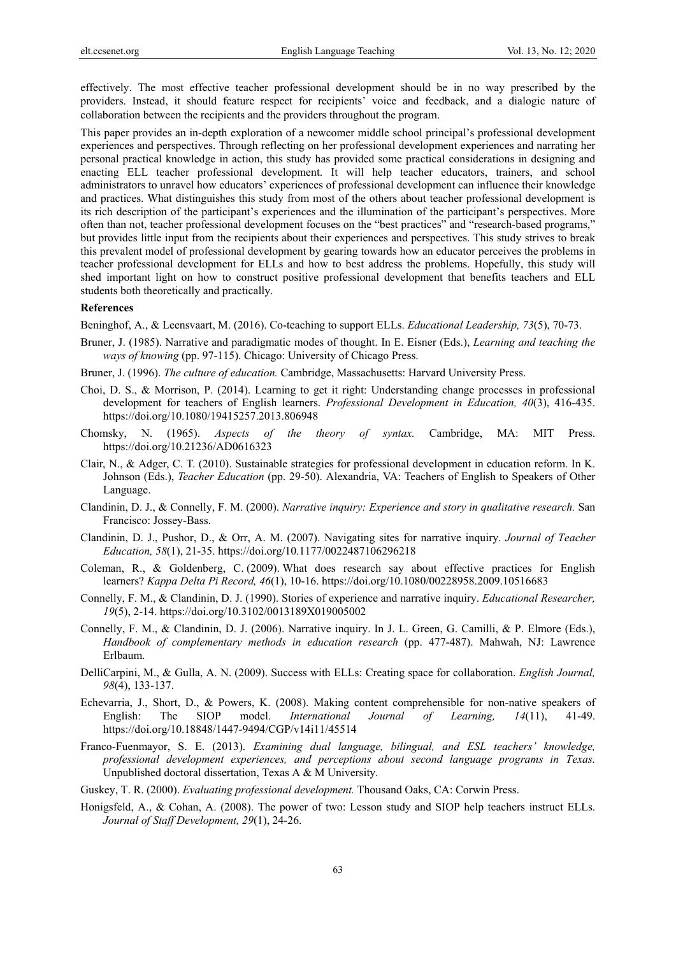effectively. The most effective teacher professional development should be in no way prescribed by the providers. Instead, it should feature respect for recipients' voice and feedback, and a dialogic nature of collaboration between the recipients and the providers throughout the program.

This paper provides an in-depth exploration of a newcomer middle school principal's professional development experiences and perspectives. Through reflecting on her professional development experiences and narrating her personal practical knowledge in action, this study has provided some practical considerations in designing and enacting ELL teacher professional development. It will help teacher educators, trainers, and school administrators to unravel how educators' experiences of professional development can influence their knowledge and practices. What distinguishes this study from most of the others about teacher professional development is its rich description of the participant's experiences and the illumination of the participant's perspectives. More often than not, teacher professional development focuses on the "best practices" and "research-based programs," but provides little input from the recipients about their experiences and perspectives. This study strives to break this prevalent model of professional development by gearing towards how an educator perceives the problems in teacher professional development for ELLs and how to best address the problems. Hopefully, this study will shed important light on how to construct positive professional development that benefits teachers and ELL students both theoretically and practically.

#### **References**

Beninghof, A., & Leensvaart, M. (2016). Co-teaching to support ELLs. *Educational Leadership, 73*(5), 70-73.

- Bruner, J. (1985). Narrative and paradigmatic modes of thought. In E. Eisner (Eds.), *Learning and teaching the ways of knowing* (pp. 97-115). Chicago: University of Chicago Press.
- Bruner, J. (1996). *The culture of education.* Cambridge, Massachusetts: Harvard University Press.
- Choi, D. S., & Morrison, P. (2014). Learning to get it right: Understanding change processes in professional development for teachers of English learners. *Professional Development in Education, 40*(3), 416-435. https://doi.org/10.1080/19415257.2013.806948
- Chomsky, N. (1965). *Aspects of the theory of syntax.* Cambridge, MA: MIT Press. https://doi.org/10.21236/AD0616323
- Clair, N., & Adger, C. T. (2010). Sustainable strategies for professional development in education reform. In K. Johnson (Eds.), *Teacher Education* (pp. 29-50). Alexandria, VA: Teachers of English to Speakers of Other Language.
- Clandinin, D. J., & Connelly, F. M. (2000). *Narrative inquiry: Experience and story in qualitative research.* San Francisco: Jossey-Bass.
- Clandinin, D. J., Pushor, D., & Orr, A. M. (2007). Navigating sites for narrative inquiry. *Journal of Teacher Education, 58*(1), 21-35. https://doi.org/10.1177/0022487106296218
- Coleman, R., & Goldenberg, C. (2009). What does research say about effective practices for English learners? *Kappa Delta Pi Record, 46*(1), 10-16. https://doi.org/10.1080/00228958.2009.10516683
- Connelly, F. M., & Clandinin, D. J. (1990). Stories of experience and narrative inquiry. *Educational Researcher, 19*(5), 2-14. https://doi.org/10.3102/0013189X019005002
- Connelly, F. M., & Clandinin, D. J. (2006). Narrative inquiry. In J. L. Green, G. Camilli, & P. Elmore (Eds.), *Handbook of complementary methods in education research* (pp. 477-487). Mahwah, NJ: Lawrence Erlbaum.
- DelliCarpini, M., & Gulla, A. N. (2009). Success with ELLs: Creating space for collaboration. *English Journal, 98*(4), 133-137.
- Echevarria, J., Short, D., & Powers, K. (2008). Making content comprehensible for non-native speakers of English: The SIOP model. *International Journal of Learning, 14*(11), 41-49. https://doi.org/10.18848/1447-9494/CGP/v14i11/45514
- Franco-Fuenmayor, S. E. (2013). *Examining dual language, bilingual, and ESL teachers' knowledge, professional development experiences, and perceptions about second language programs in Texas.* Unpublished doctoral dissertation, Texas A & M University.
- Guskey, T. R. (2000). *Evaluating professional development.* Thousand Oaks, CA: Corwin Press.
- Honigsfeld, A., & Cohan, A. (2008). The power of two: Lesson study and SIOP help teachers instruct ELLs. *Journal of Staff Development, 29*(1), 24-26.